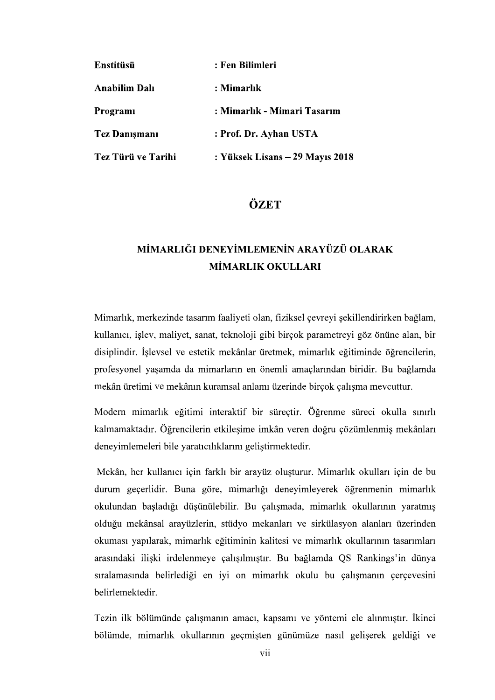| Enstitüsü            | : Fen Bilimleri                 |
|----------------------|---------------------------------|
| Anabilim Dalı        | : Mimarlık                      |
| Programi             | : Mimarlık - Mimari Tasarım     |
| <b>Tez Danişmanı</b> | : Prof. Dr. Ayhan USTA          |
| Tez Türü ve Tarihi   | : Yüksek Lisans – 29 Mayıs 2018 |

## ÖZET

## MİMARLIĞI DENEYİMLEMENİN ARAYÜZÜ OLARAK **MİMARLIK OKULLARI**

Mimarlık, merkezinde tasarım faaliyeti olan, fiziksel çevreyi şekillendirirken bağlam, kullanıcı, işlev, maliyet, sanat, teknoloji gibi birçok parametreyi göz önüne alan, bir disiplindir. İslevsel ve estetik mekânlar üretmek, mimarlık eğitiminde öğrencilerin, profesyonel yaşamda da mimarların en önemli amaçlarından biridir. Bu bağlamda mekân üretimi ve mekânın kuramsal anlamı üzerinde birçok çalışma mevcuttur.

Modern mimarlık eğitimi interaktif bir süreçtir. Öğrenme süreci okulla sınırlı kalmamaktadır. Öğrencilerin etkilesime imkân veren doğru çözümlenmiş mekânları deneyimlemeleri bile yaratıcılıklarını geliştirmektedir.

Mekân, her kullanıcı için farklı bir arayüz oluşturur. Mimarlık okulları için de bu durum geçerlidir. Buna göre, mimarlığı deneyimleyerek öğrenmenin mimarlık okulundan başladığı düşünülebilir. Bu çalışmada, mimarlık okullarının yaratmış olduğu mekânsal arayüzlerin, stüdyo mekanları ve sirkülasyon alanları üzerinden okuması yapılarak, mimarlık eğitiminin kalitesi ve mimarlık okullarının tasarımları arasındaki ilişki irdelenmeye çalışılmıştır. Bu bağlamda QS Rankings'in dünya sıralamasında belirlediği en iyi on mimarlık okulu bu çalışmanın çerçevesini belirlemektedir.

Tezin ilk bölümünde çalışmanın amacı, kapsamı ve yöntemi ele alınmıştır. İkinci bölümde, mimarlık okullarının geçmişten günümüze nasıl geliserek geldiği ve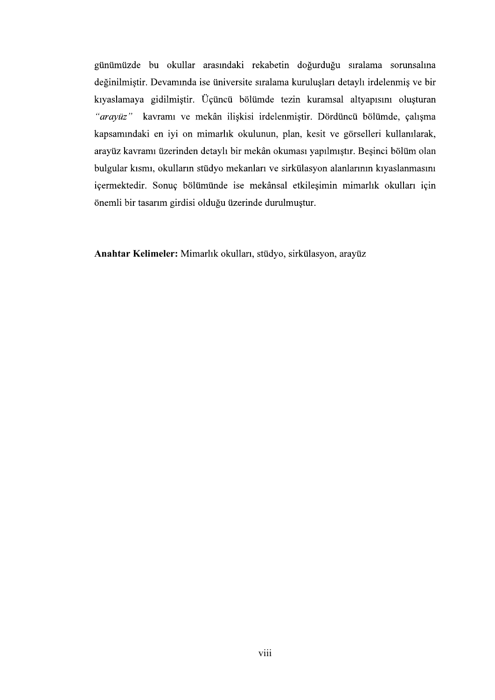günümüzde bu okullar arasındaki rekabetin doğurduğu sıralama sorunsalına değinilmiştir. Devamında ise üniversite sıralama kuruluşları detaylı irdelenmiş ve bir kıyaslamaya gidilmiştir. Üçüncü bölümde tezin kuramsal altyapısını oluşturan "arayüz" kavramı ve mekân ilişkisi irdelenmiştir. Dördüncü bölümde, çalışma kapsamındaki en iyi on mimarlık okulunun, plan, kesit ve görselleri kullanılarak, arayüz kavramı üzerinden detaylı bir mekân okuması yapılmıştır. Beşinci bölüm olan bulgular kısmı, okulların stüdyo mekanları ve sirkülasyon alanlarının kıyaslanmasını içermektedir. Sonuç bölümünde ise mekânsal etkileşimin mimarlık okulları için önemli bir tasarım girdisi olduğu üzerinde durulmuştur.

Anahtar Kelimeler: Mimarlık okulları, stüdyo, sirkülasyon, arayüz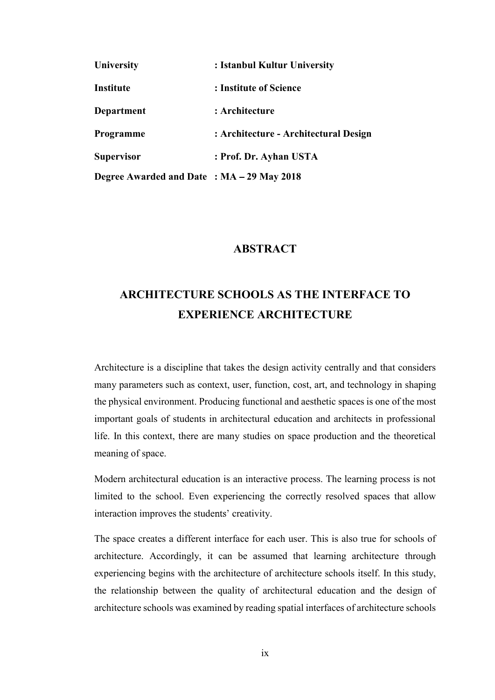| University                                | : Istanbul Kultur University          |
|-------------------------------------------|---------------------------------------|
| Institute                                 | : Institute of Science                |
| <b>Department</b>                         | : Architecture                        |
| Programme                                 | : Architecture - Architectural Design |
| <b>Supervisor</b>                         | : Prof. Dr. Ayhan USTA                |
| Degree Awarded and Date: MA - 29 May 2018 |                                       |

## **ABSTRACT**

## ARCHITECTURE SCHOOLS AS THE INTERFACE TO EXPERIENCE ARCHITECTURE

Architecture is a discipline that takes the design activity centrally and that considers many parameters such as context, user, function, cost, art, and technology in shaping the physical environment. Producing functional and aesthetic spaces is one of the most important goals of students in architectural education and architects in professional life. In this context, there are many studies on space production and the theoretical meaning of space.

Modern architectural education is an interactive process. The learning process is not limited to the school. Even experiencing the correctly resolved spaces that allow interaction improves the students' creativity.

The space creates a different interface for each user. This is also true for schools of architecture. Accordingly, it can be assumed that learning architecture through experiencing begins with the architecture of architecture schools itself. In this study, the relationship between the quality of architectural education and the design of architecture schools was examined by reading spatial interfaces of architecture schools